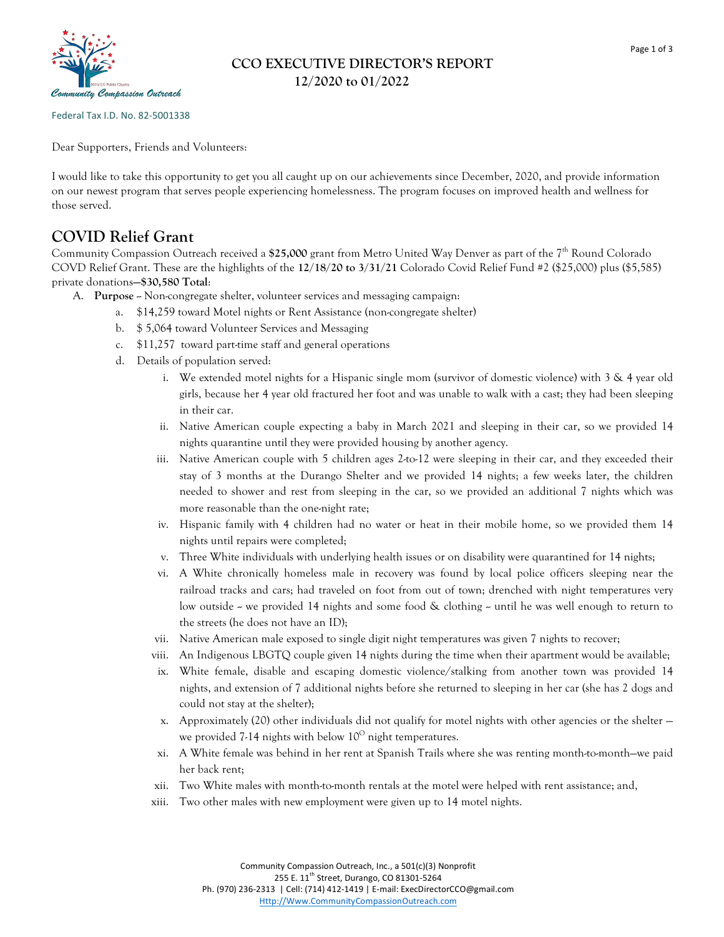

## **CCO EXECUTIVE DIRECTOR'S REPORT 12/2020 to 01/2022**

Federal Tax I.D. No. 82-5001338

Dear Supporters, Friends and Volunteers:

I would like to take this opportunity to get you all caught up on our achievements since December, 2020, and provide information on our newest program that serves people experiencing homelessness. The program focuses on improved health and wellness for those served.

## **COVID Relief Grant**

Community Compassion Outreach received a \$25,000 grant from Metro United Way Denver as part of the 7<sup>th</sup> Round Colorado COVD Relief Grant. These are the highlights of the **12/18/20 to 3/31/21** Colorado Covid Relief Fund #2 (\$25,000) plus (\$5,585) private donations**—\$30,580 Total**:

- A. **Purpose** -- Non-congregate shelter, volunteer services and messaging campaign:
	- a. \$14,259 toward Motel nights or Rent Assistance (non-congregate shelter)
	- b. \$ 5,064 toward Volunteer Services and Messaging
	- c. \$11,257 toward part-time staff and general operations
	- d. Details of population served:
		- i. We extended motel nights for a Hispanic single mom (survivor of domestic violence) with 3 & 4 year old girls, because her 4 year old fractured her foot and was unable to walk with a cast; they had been sleeping in their car.
		- ii. Native American couple expecting a baby in March 2021 and sleeping in their car, so we provided 14 nights quarantine until they were provided housing by another agency.
		- iii. Native American couple with 5 children ages 2-to-12 were sleeping in their car, and they exceeded their stay of 3 months at the Durango Shelter and we provided 14 nights; a few weeks later, the children needed to shower and rest from sleeping in the car, so we provided an additional 7 nights which was more reasonable than the one-night rate;
		- iv. Hispanic family with 4 children had no water or heat in their mobile home, so we provided them 14 nights until repairs were completed;
		- v. Three White individuals with underlying health issues or on disability were quarantined for 14 nights;
		- vi. A White chronically homeless male in recovery was found by local police officers sleeping near the railroad tracks and cars; had traveled on foot from out of town; drenched with night temperatures very low outside - we provided 14 nights and some food & clothing - until he was well enough to return to the streets (he does not have an ID);
		- vii. Native American male exposed to single digit night temperatures was given 7 nights to recover;
		- viii. An Indigenous LBGTQ couple given 14 nights during the time when their apartment would be available;
		- ix. White female, disable and escaping domestic violence/stalking from another town was provided 14 nights, and extension of 7 additional nights before she returned to sleeping in her car (she has 2 dogs and could not stay at the shelter);
		- x. Approximately (20) other individuals did not qualify for motel nights with other agencies or the shelter we provided 7-14 nights with below  $10^{\circ}$  night temperatures.
		- xi. A White female was behind in her rent at Spanish Trails where she was renting month-to-month—we paid her back rent;
		- xii. Two White males with month-to-month rentals at the motel were helped with rent assistance; and,
		- xiii. Two other males with new employment were given up to 14 motel nights.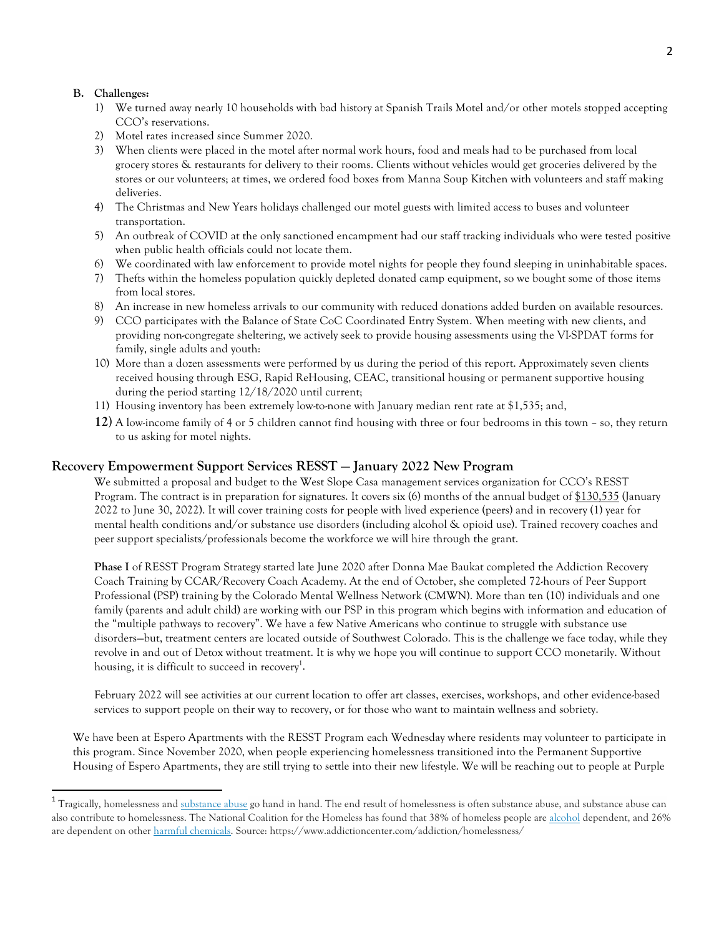#### **B. Challenges:**

 

- 1) We turned away nearly 10 households with bad history at Spanish Trails Motel and/or other motels stopped accepting CCO's reservations.
- 2) Motel rates increased since Summer 2020.
- 3) When clients were placed in the motel after normal work hours, food and meals had to be purchased from local grocery stores & restaurants for delivery to their rooms. Clients without vehicles would get groceries delivered by the stores or our volunteers; at times, we ordered food boxes from Manna Soup Kitchen with volunteers and staff making deliveries.
- 4) The Christmas and New Years holidays challenged our motel guests with limited access to buses and volunteer transportation.
- 5) An outbreak of COVID at the only sanctioned encampment had our staff tracking individuals who were tested positive when public health officials could not locate them.
- 6) We coordinated with law enforcement to provide motel nights for people they found sleeping in uninhabitable spaces.
- 7) Thefts within the homeless population quickly depleted donated camp equipment, so we bought some of those items from local stores.
- 8) An increase in new homeless arrivals to our community with reduced donations added burden on available resources.
- 9) CCO participates with the Balance of State CoC Coordinated Entry System. When meeting with new clients, and providing non-congregate sheltering, we actively seek to provide housing assessments using the VI-SPDAT forms for family, single adults and youth:
- 10) More than a dozen assessments were performed by us during the period of this report. Approximately seven clients received housing through ESG, Rapid ReHousing, CEAC, transitional housing or permanent supportive housing during the period starting 12/18/2020 until current;
- 11) Housing inventory has been extremely low-to-none with January median rent rate at \$1,535; and,
- **12)** A low-income family of 4 or 5 children cannot find housing with three or four bedrooms in this town so, they return to us asking for motel nights.

### **Recovery Empowerment Support Services RESST — January 2022 New Program**

We submitted a proposal and budget to the West Slope Casa management services organization for CCO's RESST Program. The contract is in preparation for signatures. It covers six (6) months of the annual budget of \$130,535 (January 2022 to June 30, 2022). It will cover training costs for people with lived experience (peers) and in recovery (1) year for mental health conditions and/or substance use disorders (including alcohol & opioid use). Trained recovery coaches and peer support specialists/professionals become the workforce we will hire through the grant.

**Phase I** of RESST Program Strategy started late June 2020 after Donna Mae Baukat completed the Addiction Recovery Coach Training by CCAR/Recovery Coach Academy. At the end of October, she completed 72-hours of Peer Support Professional (PSP) training by the Colorado Mental Wellness Network (CMWN). More than ten (10) individuals and one family (parents and adult child) are working with our PSP in this program which begins with information and education of the "multiple pathways to recovery". We have a few Native Americans who continue to struggle with substance use disorders—but, treatment centers are located outside of Southwest Colorado. This is the challenge we face today, while they revolve in and out of Detox without treatment. It is why we hope you will continue to support CCO monetarily. Without housing, it is difficult to succeed in recovery<sup>1</sup>.

February 2022 will see activities at our current location to offer art classes, exercises, workshops, and other evidence-based services to support people on their way to recovery, or for those who want to maintain wellness and sobriety.

We have been at Espero Apartments with the RESST Program each Wednesday where residents may volunteer to participate in this program. Since November 2020, when people experiencing homelessness transitioned into the Permanent Supportive Housing of Espero Apartments, they are still trying to settle into their new lifestyle. We will be reaching out to people at Purple

<sup>&</sup>lt;sup>1</sup> Tragically, homelessness and substance abuse go hand in hand. The end result of homelessness is often substance abuse, and substance abuse can also contribute to homelessness. The National Coalition for the Homeless has found that 38% of homeless people are alcohol dependent, and 26% are dependent on other harmful chemicals. Source: https://www.addictioncenter.com/addiction/homelessness/